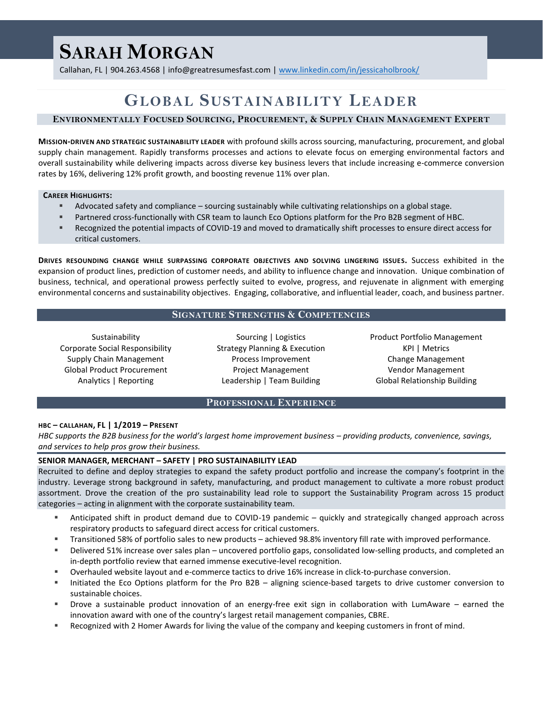## **SARAH MORGAN**

Callahan, FL | 904.263.4568 | info@greatresumesfast.com [| www.linkedin.com/in/jessicaholbrook/](http://www.linkedin.com/in/jessicaholbrook/)

### **GLOBAL SUSTAINABILITY LEADER**

### **ENVIRONMENTALLY FOCUSED SOURCING, PROCUREMENT, & SUPPLY CHAIN MANAGEMENT EXPERT**

**MISSION-DRIVEN AND STRATEGIC SUSTAINABILITY LEADER** with profound skills across sourcing, manufacturing, procurement, and global supply chain management. Rapidly transforms processes and actions to elevate focus on emerging environmental factors and overall sustainability while delivering impacts across diverse key business levers that include increasing e-commerce conversion rates by 16%, delivering 12% profit growth, and boosting revenue 11% over plan.

### **CAREER HIGHLIGHTS:**

- Advocated safety and compliance sourcing sustainably while cultivating relationships on a global stage.
- Partnered cross-functionally with CSR team to launch Eco Options platform for the Pro B2B segment of HBC.
- Recognized the potential impacts of COVID-19 and moved to dramatically shift processes to ensure direct access for critical customers.

**DRIVES RESOUNDING CHANGE WHILE SURPASSING CORPORATE OBJECTIVES AND SOLVING LINGERING ISSUES.** Success exhibited in the expansion of product lines, prediction of customer needs, and ability to influence change and innovation. Unique combination of business, technical, and operational prowess perfectly suited to evolve, progress, and rejuvenate in alignment with emerging environmental concerns and sustainability objectives. Engaging, collaborative, and influential leader, coach, and business partner.

### **SIGNATURE STRENGTHS & COMPETENCIES**

Sustainability Corporate Social Responsibility Supply Chain Management Global Product Procurement Analytics | Reporting

Sourcing | Logistics Strategy Planning & Execution Process Improvement Project Management Leadership | Team Building

Product Portfolio Management KPI | Metrics Change Management Vendor Management Global Relationship Building

#### **PROFESSIONAL EXPERIENCE**

### **HBC – CALLAHAN, FL | 1/2019 – PRESENT**

*HBC supports the B2B business for the world's largest home improvement business – providing products, convenience, savings, and services to help pros grow their business.* 

### **SENIOR MANAGER, MERCHANT – SAFETY | PRO SUSTAINABILITY LEAD**

Recruited to define and deploy strategies to expand the safety product portfolio and increase the company's footprint in the industry. Leverage strong background in safety, manufacturing, and product management to cultivate a more robust product assortment. Drove the creation of the pro sustainability lead role to support the Sustainability Program across 15 product categories – acting in alignment with the corporate sustainability team.

- Anticipated shift in product demand due to COVID-19 pandemic quickly and strategically changed approach across respiratory products to safeguard direct access for critical customers.
- Transitioned 58% of portfolio sales to new products achieved 98.8% inventory fill rate with improved performance.
- Delivered 51% increase over sales plan uncovered portfolio gaps, consolidated low-selling products, and completed an in-depth portfolio review that earned immense executive-level recognition.
- Overhauled website layout and e-commerce tactics to drive 16% increase in click-to-purchase conversion.
- Initiated the Eco Options platform for the Pro B2B aligning science-based targets to drive customer conversion to sustainable choices.
- Drove a sustainable product innovation of an energy-free exit sign in collaboration with LumAware earned the innovation award with one of the country's largest retail management companies, CBRE.
- Recognized with 2 Homer Awards for living the value of the company and keeping customers in front of mind.